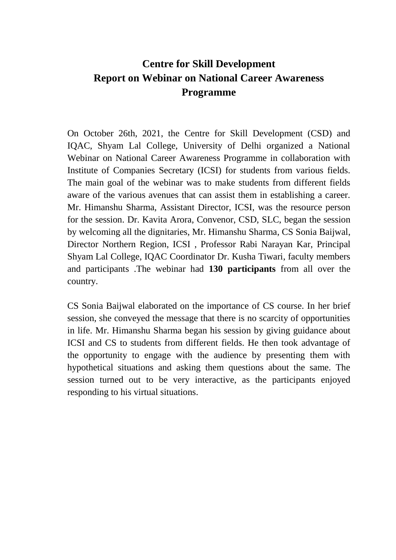## **Centre for Skill Development Report on Webinar on National Career Awareness Programme**

On October 26th, 2021, the Centre for Skill Development (CSD) and IQAC, Shyam Lal College, University of Delhi organized a National Webinar on National Career Awareness Programme in collaboration with Institute of Companies Secretary (ICSI) for students from various fields. The main goal of the webinar was to make students from different fields aware of the various avenues that can assist them in establishing a career. Mr. Himanshu Sharma, Assistant Director, ICSI, was the resource person for the session. Dr. Kavita Arora, Convenor, CSD, SLC, began the session by welcoming all the dignitaries, Mr. Himanshu Sharma, CS Sonia Baijwal, Director Northern Region, ICSI , Professor Rabi Narayan Kar, Principal Shyam Lal College, IQAC Coordinator Dr. Kusha Tiwari, faculty members and participants .The webinar had **130 participants** from all over the country.

CS Sonia Baijwal elaborated on the importance of CS course. In her brief session, she conveyed the message that there is no scarcity of opportunities in life. Mr. Himanshu Sharma began his session by giving guidance about ICSI and CS to students from different fields. He then took advantage of the opportunity to engage with the audience by presenting them with hypothetical situations and asking them questions about the same. The session turned out to be very interactive, as the participants enjoyed responding to his virtual situations.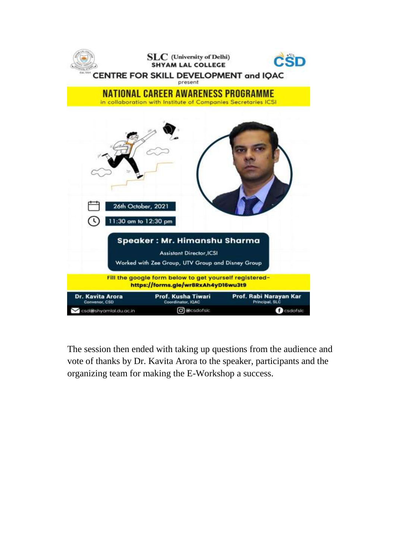

The session then ended with taking up questions from the audience and vote of thanks by Dr. Kavita Arora to the speaker, participants and the organizing team for making the E-Workshop a success.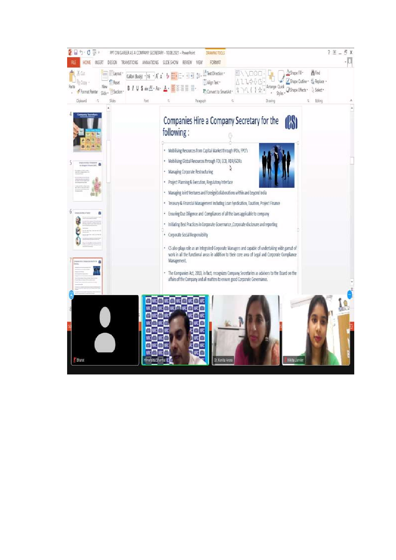